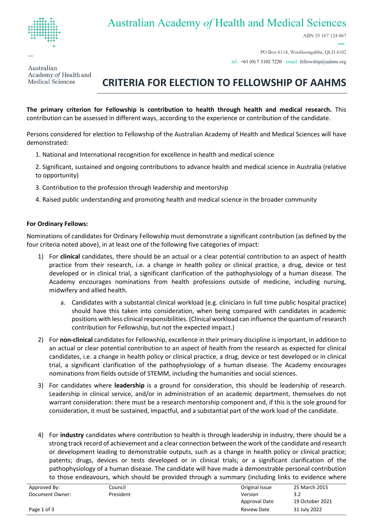

## Australian Academy *of* Health and Medical Sciences

ABN 55 167 124 067

Australian Academy of Health and Medical Sciences

#### PO Box 6114, Woolloongabba, QLD 4102 tel.: +61 (0) 7 3102 7220 · email[: fellowship@aahms.org](mailto:fellowship@aahms.org)

# **CRITERIA FOR ELECTION TO FELLOWSHIP OF AAHMS**

**The primary criterion for Fellowship is contribution to health through health and medical research.** This contribution can be assessed in different ways, according to the experience or contribution of the candidate.

Persons considered for election to Fellowship of the Australian Academy of Health and Medical Sciences will have demonstrated:

- 1. National and International recognition for excellence in health and medical science
- 2. Significant, sustained and ongoing contributions to advance health and medical science in Australia (relative to opportunity)
- 3. Contribution to the profession through leadership and mentorship
- 4. Raised public understanding and promoting health and medical science in the broader community

#### **For Ordinary Fellows:**

Nominations of candidates for Ordinary Fellowship must demonstrate a significant contribution (as defined by the four criteria noted above), in at least one of the following five categories of impact:

- 1) For **clinical** candidates, there should be an actual or a clear potential contribution to an aspect of health practice from their research, i.e. a change in health policy or clinical practice, a drug, device or test developed or in clinical trial, a significant clarification of the pathophysiology of a human disease. The Academy encourages nominations from health professions outside of medicine, including nursing, midwifery and allied health.
	- a. Candidates with a substantial clinical workload (e.g. clinicians in full time public hospital practice) should have this taken into consideration, when being compared with candidates in academic positions with less clinical responsibilities. (Clinical workload can influence the quantum of research contribution for Fellowship, but not the expected impact.)
- 2) For **non-clinical** candidates for Fellowship, excellence in their primary discipline is important, in addition to an actual or clear potential contribution to an aspect of health from the research as expected for clinical candidates, i.e. a change in health policy or clinical practice, a drug, device or test developed or in clinical trial, a significant clarification of the pathophysiology of a human disease. The Academy encourages nominations from fields outside of STEMM, including the humanities and social sciences.
- 3) For candidates where **leadership** is a ground for consideration, this should be leadership of research. Leadership in clinical service, and/or in administration of an academic department, themselves do not warrant consideration: there must be a research mentorship component and, if this is the sole ground for consideration, it must be sustained, impactful, and a substantial part of the work load of the candidate.
- 4) For **industry** candidates where contribution to health is through leadership in industry, there should be a strong track record of achievement and a clear connection between the work of the candidate and research or development leading to demonstrable outputs, such as a change in health policy or clinical practice; patents; drugs, devices or tests developed or in clinical trials; or a significant clarification of the pathophysiology of a human disease. The candidate will have made a demonstrable personal contribution to those endeavours, which should be provided through a summary (including links to evidence where

| Approved By:    | Council   | Original Issue     | 25 March 2015   |
|-----------------|-----------|--------------------|-----------------|
| Document Owner: | President | Version            | 3.2             |
|                 |           | Approval Date      | 19 October 2021 |
| Page 1 of 3     |           | <b>Review Date</b> | 31 July 2022    |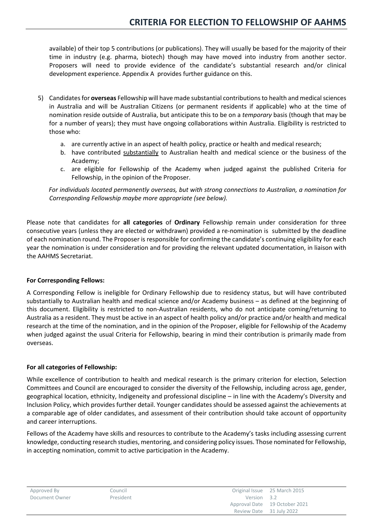available) of their top 5 contributions (or publications). They will usually be based for the majority of their time in industry (e.g. pharma, biotech) though may have moved into industry from another sector. Proposers will need to provide evidence of the candidate's substantial research and/or clinical development experience. Appendix A provides further guidance on this.

- 5) Candidates for **overseas** Fellowship will have made substantial contributions to health and medical sciences in Australia and will be Australian Citizens (or permanent residents if applicable) who at the time of nomination reside outside of Australia, but anticipate this to be on a *temporary* basis (though that may be for a number of years); they must have ongoing collaborations within Australia. Eligibility is restricted to those who:
	- a. are currently active in an aspect of health policy, practice or health and medical research;
	- b. have contributed substantially to Australian health and medical science or the business of the Academy;
	- c. are eligible for Fellowship of the Academy when judged against the published Criteria for Fellowship, in the opinion of the Proposer.

*For individuals located permanently overseas, but with strong connections to Australian, a nomination for Corresponding Fellowship maybe more appropriate (see below).*

Please note that candidates for **all categories** of **Ordinary** Fellowship remain under consideration for three consecutive years (unless they are elected or withdrawn) provided a re-nomination is submitted by the deadline of each nomination round. The Proposer is responsible for confirming the candidate's continuing eligibility for each year the nomination is under consideration and for providing the relevant updated documentation, in liaison with the AAHMS Secretariat.

#### **For Corresponding Fellows:**

A Corresponding Fellow is ineligible for Ordinary Fellowship due to residency status, but will have contributed substantially to Australian health and medical science and/or Academy business – as defined at the beginning of this document. Eligibility is restricted to non-Australian residents, who do not anticipate coming/returning to Australia as a resident. They must be active in an aspect of health policy and/or practice and/or health and medical research at the time of the nomination, and in the opinion of the Proposer, eligible for Fellowship of the Academy when judged against the usual Criteria for Fellowship, bearing in mind their contribution is primarily made from overseas.

#### **For all categories of Fellowship:**

While excellence of contribution to health and medical research is the primary criterion for election, Selection Committees and Council are encouraged to consider the diversity of the Fellowship, including across age, gender, geographical location, ethnicity, Indigeneity and professional discipline – in line with the Academy's Diversity and Inclusion Policy, which provides further detail. Younger candidates should be assessed against the achievements at a comparable age of older candidates, and assessment of their contribution should take account of opportunity and career interruptions.

Fellows of the Academy have skills and resources to contribute to the Academy's tasks including assessing current knowledge, conducting research studies, mentoring, and considering policy issues. Those nominated for Fellowship, in accepting nomination, commit to active participation in the Academy.

| Approved By    | Council   |             | Original Issue 25 March 2015  |
|----------------|-----------|-------------|-------------------------------|
| Document Owner | President | Version 3.2 |                               |
|                |           |             | Approval Date 19 October 2021 |
|                |           |             | Review Date 31 July 2022      |